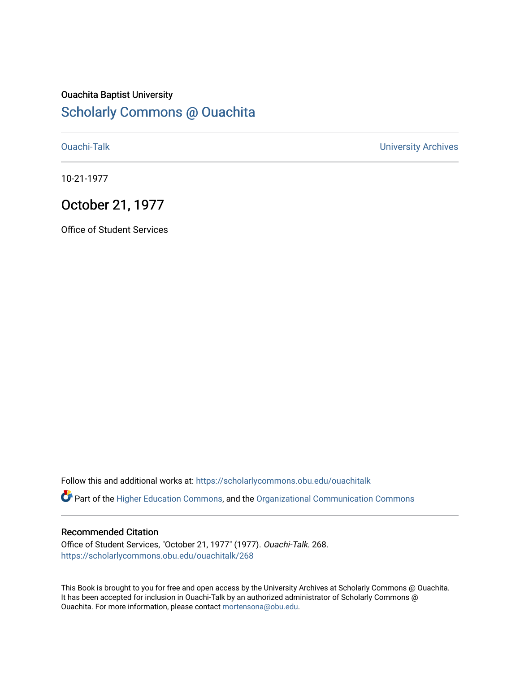## Ouachita Baptist University [Scholarly Commons @ Ouachita](https://scholarlycommons.obu.edu/)

[Ouachi-Talk](https://scholarlycommons.obu.edu/ouachitalk) [University Archives](https://scholarlycommons.obu.edu/universityarchives) 

10-21-1977

## October 21, 1977

Office of Student Services

Follow this and additional works at: [https://scholarlycommons.obu.edu/ouachitalk](https://scholarlycommons.obu.edu/ouachitalk?utm_source=scholarlycommons.obu.edu%2Fouachitalk%2F268&utm_medium=PDF&utm_campaign=PDFCoverPages) 

Part of the [Higher Education Commons,](http://network.bepress.com/hgg/discipline/1245?utm_source=scholarlycommons.obu.edu%2Fouachitalk%2F268&utm_medium=PDF&utm_campaign=PDFCoverPages) and the [Organizational Communication Commons](http://network.bepress.com/hgg/discipline/335?utm_source=scholarlycommons.obu.edu%2Fouachitalk%2F268&utm_medium=PDF&utm_campaign=PDFCoverPages)

## Recommended Citation

Office of Student Services, "October 21, 1977" (1977). Ouachi-Talk. 268. [https://scholarlycommons.obu.edu/ouachitalk/268](https://scholarlycommons.obu.edu/ouachitalk/268?utm_source=scholarlycommons.obu.edu%2Fouachitalk%2F268&utm_medium=PDF&utm_campaign=PDFCoverPages) 

This Book is brought to you for free and open access by the University Archives at Scholarly Commons @ Ouachita. It has been accepted for inclusion in Ouachi-Talk by an authorized administrator of Scholarly Commons @ Ouachita. For more information, please contact [mortensona@obu.edu](mailto:mortensona@obu.edu).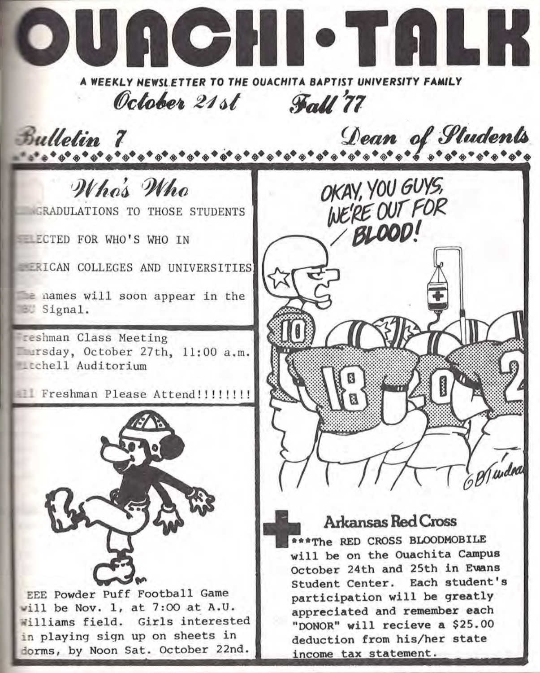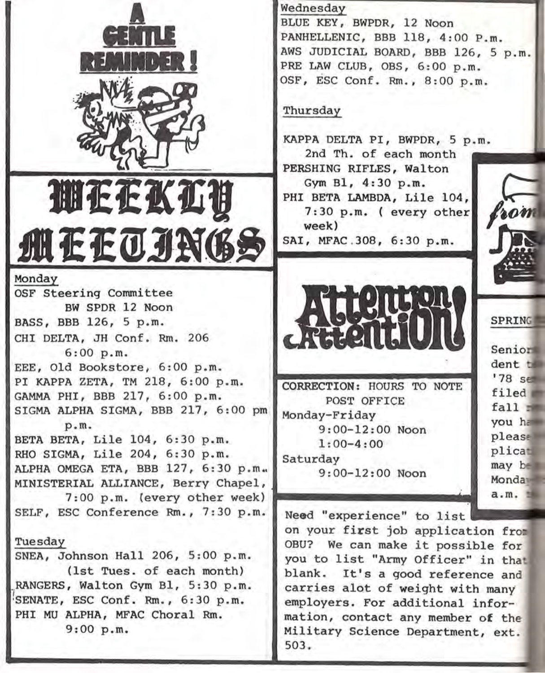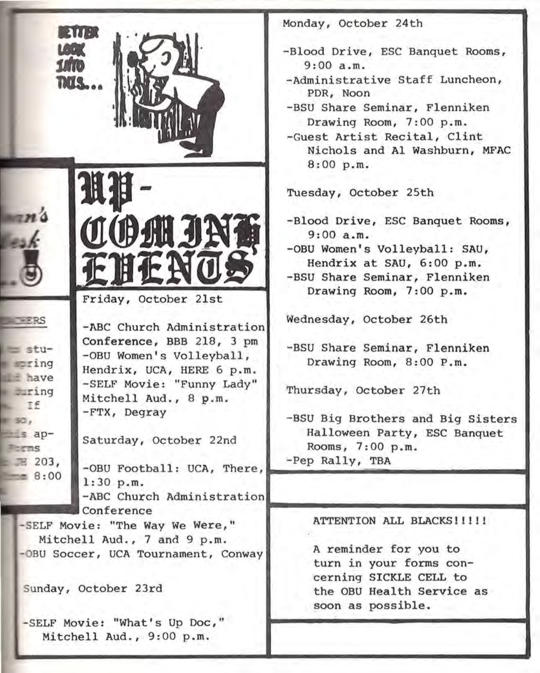| <b>ENTER</b>                                                                                                                                                                                                                                                                                                                                                                                | Monday, October 24th                                                                                                                                                                                                                    |
|---------------------------------------------------------------------------------------------------------------------------------------------------------------------------------------------------------------------------------------------------------------------------------------------------------------------------------------------------------------------------------------------|-----------------------------------------------------------------------------------------------------------------------------------------------------------------------------------------------------------------------------------------|
| LOOK<br>1/10<br><b>TIOS</b>                                                                                                                                                                                                                                                                                                                                                                 | -Blood Drive, ESC Banquet Rooms,<br>9:00 a.m.<br>-Administrative Staff Luncheon,<br>PDR, Noon<br>-BSU Share Seminar, Flenniken<br>Drawing Room, 7:00 p.m.<br>-Guest Artist Recital, Clint<br>Nichols and Al Washburn, MFAC<br>8:00 p.m. |
|                                                                                                                                                                                                                                                                                                                                                                                             | Tuesday, October 25th                                                                                                                                                                                                                   |
| <b>COMJN:</b><br>Friday, October 21st                                                                                                                                                                                                                                                                                                                                                       | -Blood Drive, ESC Banquet Rooms,<br>9:00a.m.<br>-OBU Women's Volleyball: SAU,<br>Hendrix at SAU, 6:00 p.m.<br>-BSU Share Seminar, Flenniken<br>Drawing Room, 7:00 p.m.                                                                  |
| -ABC Church Administration<br>Conference, BBB 218, 3 pm<br>$=$ stu-<br>-OBU Women's Volleyball,<br>soring<br>Hendrix, UCA, HERE 6 p.m.<br>$\equiv$ have<br>-SELF Movie: "Funny Lady"<br>ering<br>Mitchell Aud., 8 p.m.<br>$F = Tf$<br>-FTX, Degray<br>0.50<br>$=$ $\epsilon$ ap-<br>Saturday, October 22nd<br>Forms<br>$\equiv$ 303,<br>-OBU Football: UCA, There,<br>$= 8:00$<br>1:30 p.m. | Wednesday, October 26th<br>-BSU Share Seminar, Flenniken<br>Drawing Room, 8:00 P.m.<br>Thursday, October 27th<br>-BSU Big Brothers and Big Sisters<br>Halloween Party, ESC Banquet<br>Rooms, 7:00 p.m.<br>-Pep Rally, TBA               |
| -ABC Church Administration<br>Conference<br>-SELF Movie: "The Way We Were,"<br>Mitchell Aud., 7 and 9 p.m.<br>-OBU Soccer, UCA Tournament, Conway<br>Sunday, October 23rd<br>-SELF Movie: "What's Up Doc,"<br>Mitchell Aud., 9:00 p.m.                                                                                                                                                      | ATTENTION ALL BLACKS!!!!!<br>A reminder for you to<br>turn in your forms con-<br>cerning SICKLE CELL to<br>the OBU Health Service as<br>soon as possible.                                                                               |